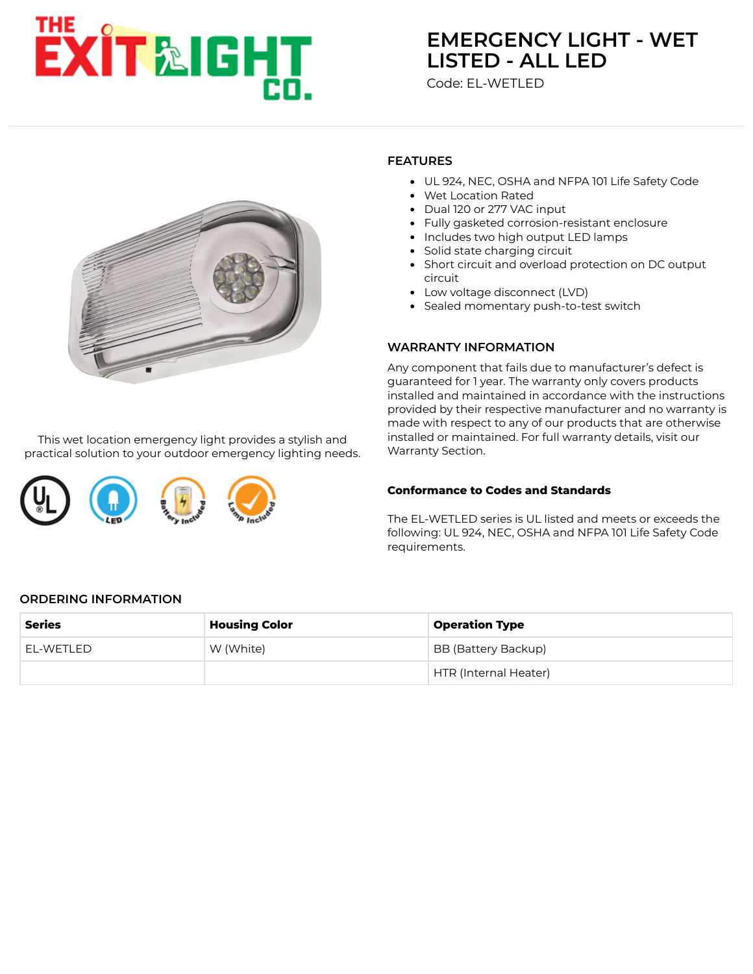# EXIT &IGHT

# **[EMERGENCY LIGHT - WET](https://www.exitlightco.com/product/EL-WETLED.html) LISTED - ALL LED**

Code: EL-WETLED



This wet location emergency light provides a stylish and practical solution to your outdoor emergency lighting needs.

# **FEATURES**

- UL 924, NEC, OSHA and NFPA 101 Life Safety Code
- Wet Location Rated
- Dual 120 or 277 VAC input
- Fully gasketed corrosion-resistant enclosure
- Includes two high output LED lamps
- Solid state charging circuit
- Short circuit and overload protection on DC output circuit
- Low voltage disconnect (LVD)
- Sealed momentary push-to-test switch

#### **WARRANTY INFORMATION**

Any component that fails due to manufacturer's defect is guaranteed for 1 year. The warranty only covers products installed and maintained in accordance with the instructions provided by their respective manufacturer and no warranty is made with respect to any of our products that are otherwise installed or maintained. For full warranty details, visit our Warranty Section.

#### **Conformance to Codes and Standards**

The EL-WETLED series is UL listed and meets or exceeds the following: UL 924, NEC, OSHA and NFPA 101 Life Safety Code requirements.

#### **ORDERING INFORMATION**

| <b>Series</b> | <b>Housing Color</b> | <b>Operation Type</b> |
|---------------|----------------------|-----------------------|
| EL-WETLED     | W (White)            | BB (Battery Backup)   |
|               |                      | HTR (Internal Heater) |